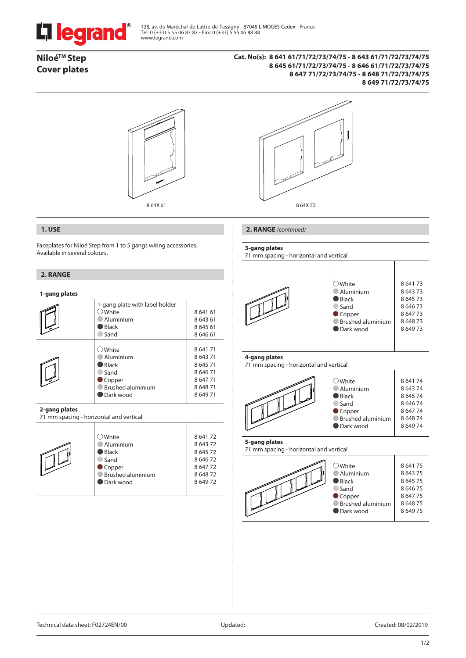

128, av. du Maréchal-de-Lattre-de-Tassigny - 87045 LIMOGES Cedex - France Tel: 0 (+33) 5 55 06 87 87 - Fax: 0 (+33) 5 55 06 88 88 www.legrand.com

# **NiloéTM Step Cover plates**

# **Cat. No(s): 8 641 61/71/72/73/74/75 - 8 643 61/71/72/73/74/75 8 645 61/71/72/73/74/75 - 8 646 61/71/72/73/74/75 8 647 71/72/73/74/75 - 8 648 71/72/73/74/75 8 649 71/72/73/74/75**





# **1. USE**

Faceplates for Niloé Step from 1 to 5 gangs wiring accessories. Available in several colours.

## **2. RANGE**

| 1-gang plates |                                                                                                         |                                                                    |
|---------------|---------------------------------------------------------------------------------------------------------|--------------------------------------------------------------------|
|               | 1-gang plate with label holder<br>White<br>Aluminium<br><b>Black</b><br>Sand                            | 864161<br>864361<br>864561<br>864661                               |
|               | $\supset$ White<br>Aluminium<br><b>Black</b><br>Sand<br>Copper<br><b>Brushed aluminium</b><br>Dark wood | 864171<br>864371<br>864571<br>864671<br>864771<br>864871<br>864971 |

### **2-gang plates**

71 mm spacing - horizontal and vertical

| سيمست<br>h s | $\bigcirc$ White<br>Aluminium<br>$\blacksquare$ Black<br>Sand<br>$\bullet$ Copper<br><b>Brushed aluminium</b><br>Dark wood | 864172<br>864372<br>864572<br>864672<br>864772<br>864872<br>864972 |
|--------------|----------------------------------------------------------------------------------------------------------------------------|--------------------------------------------------------------------|
|--------------|----------------------------------------------------------------------------------------------------------------------------|--------------------------------------------------------------------|

### **2. RANGE** *(continued)*

#### **3-gang plates**

71 mm spacing - horizontal and vertical



# **4-gang plates**

71 mm spacing - horizontal and vertical



## **5-gang plates**

71 mm spacing - horizontal and vertical